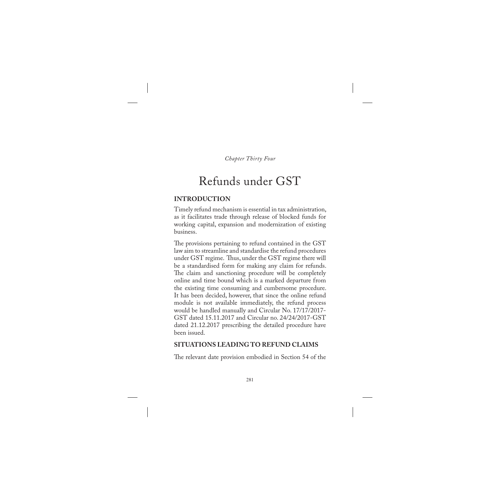*Chapter Thirty Four*

# Refunds under GST

# **INTRODUCTION**

Timely refund mechanism is essential in tax administration, as it facilitates trade through release of blocked funds for working capital, expansion and modernization of existing business.

The provisions pertaining to refund contained in the GST law aim to streamline and standardise the refund procedures under GST regime. Thus, under the GST regime there will be a standardised form for making any claim for refunds. The claim and sanctioning procedure will be completely online and time bound which is a marked departure from the existing time consuming and cumbersome procedure. It has been decided, however, that since the online refund module is not available immediately, the refund process would be handled manually and Circular No. 17/17/2017- GST dated 15.11.2017 and Circular no. 24/24/2017-GST dated 21.12.2017 prescribing the detailed procedure have been issued.

## **SITUATIONS LEADING TO REFUND CLAIMS**

The relevant date provision embodied in Section 54 of the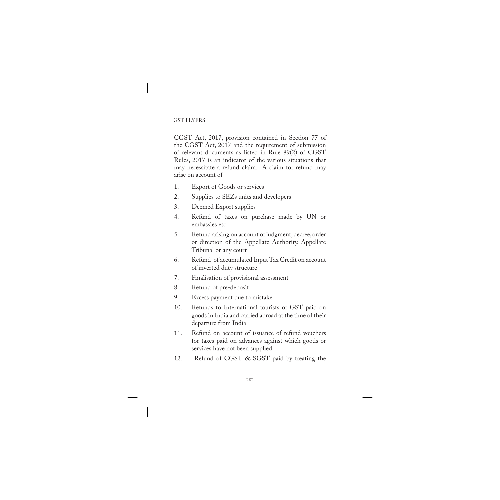CGST Act, 2017, provision contained in Section 77 of the CGST Act, 2017 and the requirement of submission of relevant documents as listed in Rule 89(2) of CGST Rules, 2017 is an indicator of the various situations that may necessitate a refund claim. A claim for refund may arise on account of-

- 1. Export of Goods or services
- 2. Supplies to SEZs units and developers
- 3. Deemed Export supplies
- 4. Refund of taxes on purchase made by UN or embassies etc
- 5. Refund arising on account of judgment, decree, order or direction of the Appellate Authority, Appellate Tribunal or any court
- 6. Refund of accumulated Input Tax Credit on account of inverted duty structure
- 7. Finalisation of provisional assessment
- 8. Refund of pre-deposit
- 9. Excess payment due to mistake
- 10. Refunds to International tourists of GST paid on goods in India and carried abroad at the time of their departure from India
- 11. Refund on account of issuance of refund vouchers for taxes paid on advances against which goods or services have not been supplied
- 12. Refund of CGST & SGST paid by treating the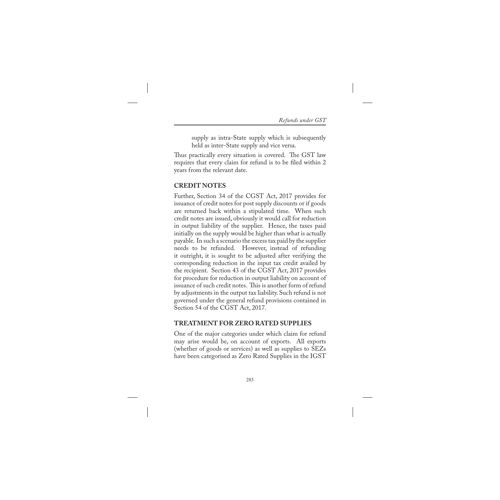supply as intra-State supply which is subsequently held as inter-State supply and vice versa.

Thus practically every situation is covered. The GST law requires that every claim for refund is to be filed within 2 years from the relevant date.

## **CREDIT NOTES**

Further, Section 34 of the CGST Act, 2017 provides for issuance of credit notes for post supply discounts or if goods are returned back within a stipulated time. When such credit notes are issued, obviously it would call for reduction in output liability of the supplier. Hence, the taxes paid initially on the supply would be higher than what is actually payable. In such a scenario the excess tax paid by the supplier needs to be refunded. However, instead of refunding it outright, it is sought to be adjusted after verifying the corresponding reduction in the input tax credit availed by the recipient. Section 43 of the CGST Act, 2017 provides for procedure for reduction in output liability on account of issuance of such credit notes. This is another form of refund by adjustments in the output tax liability. Such refund is not governed under the general refund provisions contained in Section 54 of the CGST Act, 2017.

## **TREATMENT FOR ZERO RATED SUPPLIES**

One of the major categories under which claim for refund may arise would be, on account of exports. All exports (whether of goods or services) as well as supplies to SEZs have been categorised as Zero Rated Supplies in the IGST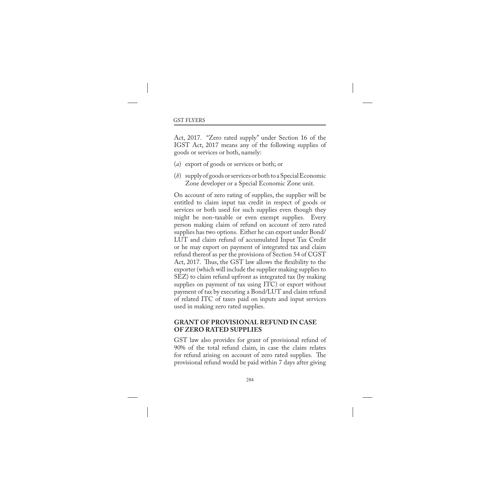Act, 2017. "Zero rated supply" under Section 16 of the IGST Act, 2017 means any of the following supplies of goods or services or both, namely:

- (*a*) export of goods or services or both; or
- (*b*) supply of goods or services or both to a Special Economic Zone developer or a Special Economic Zone unit.

On account of zero rating of supplies, the supplier will be entitled to claim input tax credit in respect of goods or services or both used for such supplies even though they might be non-taxable or even exempt supplies. Every person making claim of refund on account of zero rated supplies has two options. Either he can export under Bond/ LUT and claim refund of accumulated Input Tax Credit or he may export on payment of integrated tax and claim refund thereof as per the provisions of Section 54 of CGST Act, 2017. Thus, the GST law allows the flexibility to the exporter (which will include the supplier making supplies to SEZ) to claim refund upfront as integrated tax (by making supplies on payment of tax using ITC) or export without payment of tax by executing a Bond/LUT and claim refund of related ITC of taxes paid on inputs and input services used in making zero rated supplies.

#### **GRANT OF PROVISIONAL REFUND IN CASE OF ZERO RATED SUPPLIES**

GST law also provides for grant of provisional refund of 90% of the total refund claim, in case the claim relates for refund arising on account of zero rated supplies. The provisional refund would be paid within 7 days after giving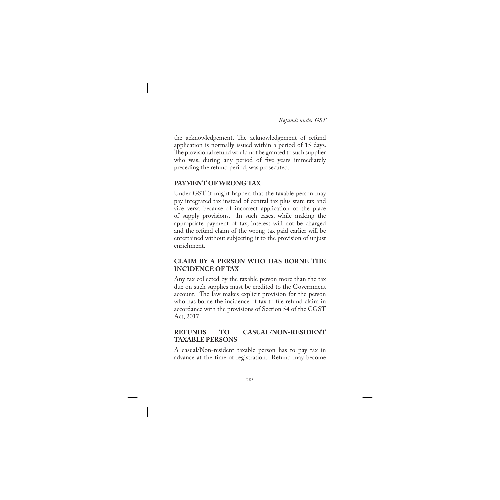the acknowledgement. The acknowledgement of refund application is normally issued within a period of 15 days. The provisional refund would not be granted to such supplier who was, during any period of five years immediately preceding the refund period, was prosecuted.

#### **PAYMENT OF WRONG TAX**

Under GST it might happen that the taxable person may pay integrated tax instead of central tax plus state tax and vice versa because of incorrect application of the place of supply provisions. In such cases, while making the appropriate payment of tax, interest will not be charged and the refund claim of the wrong tax paid earlier will be entertained without subjecting it to the provision of unjust enrichment.

## **CLAIM BY A PERSON WHO HAS BORNE THE INCIDENCE OF TAX**

Any tax collected by the taxable person more than the tax due on such supplies must be credited to the Government account. The law makes explicit provision for the person who has borne the incidence of tax to file refund claim in accordance with the provisions of Section 54 of the CGST Act, 2017.

## **REFUNDS TO CASUAL/NON-RESIDENT TAXABLE PERSONS**

A casual/Non-resident taxable person has to pay tax in advance at the time of registration. Refund may become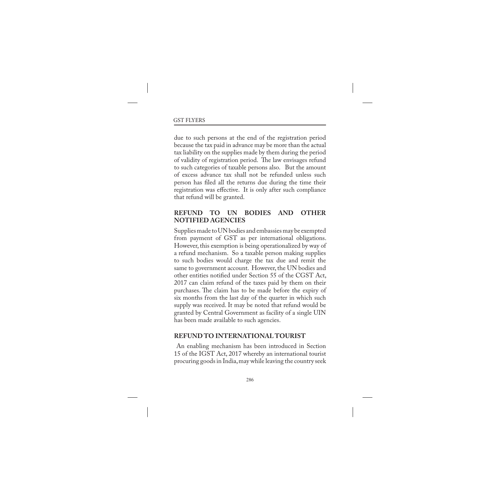due to such persons at the end of the registration period because the tax paid in advance may be more than the actual tax liability on the supplies made by them during the period of validity of registration period. The law envisages refund to such categories of taxable persons also. But the amount of excess advance tax shall not be refunded unless such person has filed all the returns due during the time their registration was effective. It is only after such compliance that refund will be granted.

## **REFUND TO UN BODIES AND OTHER NOTIFIED AGENCIES**

Supplies made to UN bodies and embassies may be exempted from payment of GST as per international obligations. However, this exemption is being operationalized by way of a refund mechanism. So a taxable person making supplies to such bodies would charge the tax due and remit the same to government account. However, the UN bodies and other entities notified under Section 55 of the CGST Act, 2017 can claim refund of the taxes paid by them on their purchases. The claim has to be made before the expiry of six months from the last day of the quarter in which such supply was received. It may be noted that refund would be granted by Central Government as facility of a single UIN has been made available to such agencies.

#### **REFUND TO INTERNATIONAL TOURIST**

 An enabling mechanism has been introduced in Section 15 of the IGST Act, 2017 whereby an international tourist procuring goods in India, may while leaving the country seek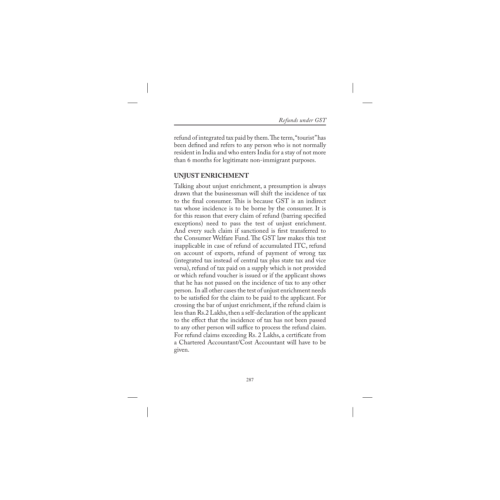refund of integrated tax paid by them. The term, "tourist" has been defined and refers to any person who is not normally resident in India and who enters India for a stay of not more than 6 months for legitimate non-immigrant purposes.

## **UNJUST ENRICHMENT**

Talking about unjust enrichment, a presumption is always drawn that the businessman will shift the incidence of tax to the final consumer. This is because GST is an indirect tax whose incidence is to be borne by the consumer. It is for this reason that every claim of refund (barring specified exceptions) need to pass the test of unjust enrichment. And every such claim if sanctioned is first transferred to the Consumer Welfare Fund. The GST law makes this test inapplicable in case of refund of accumulated ITC, refund on account of exports, refund of payment of wrong tax (integrated tax instead of central tax plus state tax and vice versa), refund of tax paid on a supply which is not provided or which refund voucher is issued or if the applicant shows that he has not passed on the incidence of tax to any other person. In all other cases the test of unjust enrichment needs to be satisfied for the claim to be paid to the applicant. For crossing the bar of unjust enrichment, if the refund claim is less than Rs.2 Lakhs, then a self-declaration of the applicant to the effect that the incidence of tax has not been passed to any other person will suffice to process the refund claim. For refund claims exceeding Rs. 2 Lakhs, a certificate from a Chartered Accountant/Cost Accountant will have to be given.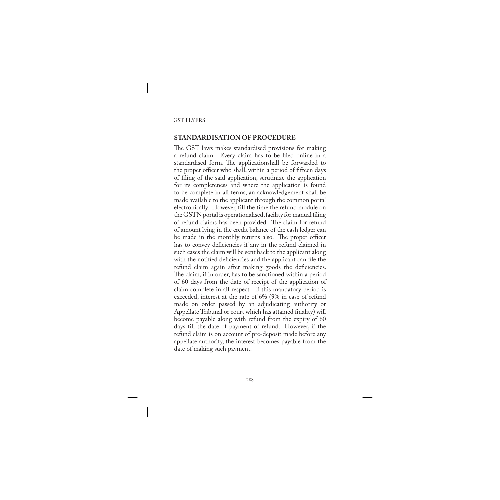#### **STANDARDISATION OF PROCEDURE**

The GST laws makes standardised provisions for making a refund claim. Every claim has to be filed online in a standardised form. The applicationshall be forwarded to the proper officer who shall, within a period of fifteen days of filing of the said application, scrutinize the application for its completeness and where the application is found to be complete in all terms, an acknowledgement shall be made available to the applicant through the common portal electronically. However, till the time the refund module on the GSTN portal is operationalised, facility for manual filing of refund claims has been provided. The claim for refund of amount lying in the credit balance of the cash ledger can be made in the monthly returns also. The proper officer has to convey deficiencies if any in the refund claimed in such cases the claim will be sent back to the applicant along with the notified deficiencies and the applicant can file the refund claim again after making goods the deficiencies. The claim, if in order, has to be sanctioned within a period of 60 days from the date of receipt of the application of claim complete in all respect. If this mandatory period is exceeded, interest at the rate of 6% (9% in case of refund made on order passed by an adjudicating authority or Appellate Tribunal or court which has attained finality) will become payable along with refund from the expiry of 60 days till the date of payment of refund. However, if the refund claim is on account of pre-deposit made before any appellate authority, the interest becomes payable from the date of making such payment.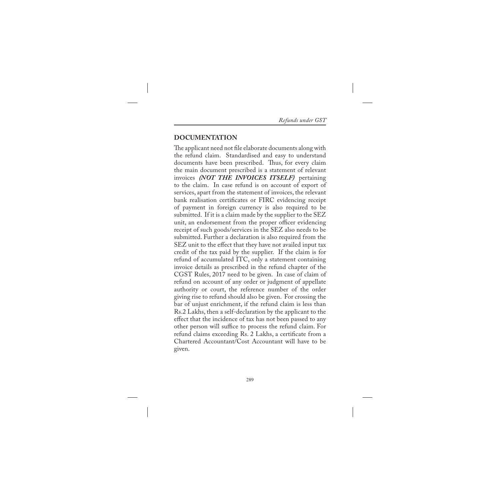## **DOCUMENTATION**

The applicant need not file elaborate documents along with the refund claim. Standardised and easy to understand documents have been prescribed. Thus, for every claim the main document prescribed is a statement of relevant invoices *(NOT THE INVOICES ITSELF)* pertaining to the claim. In case refund is on account of export of services, apart from the statement of invoices, the relevant bank realisation certificates or FIRC evidencing receipt of payment in foreign currency is also required to be submitted. If it is a claim made by the supplier to the SEZ unit, an endorsement from the proper officer evidencing receipt of such goods/services in the SEZ also needs to be submitted. Further a declaration is also required from the SEZ unit to the effect that they have not availed input tax credit of the tax paid by the supplier. If the claim is for refund of accumulated ITC, only a statement containing invoice details as prescribed in the refund chapter of the CGST Rules, 2017 need to be given. In case of claim of refund on account of any order or judgment of appellate authority or court, the reference number of the order giving rise to refund should also be given. For crossing the bar of unjust enrichment, if the refund claim is less than Rs.2 Lakhs, then a self-declaration by the applicant to the effect that the incidence of tax has not been passed to any other person will suffice to process the refund claim. For refund claims exceeding Rs. 2 Lakhs, a certificate from a Chartered Accountant/Cost Accountant will have to be given.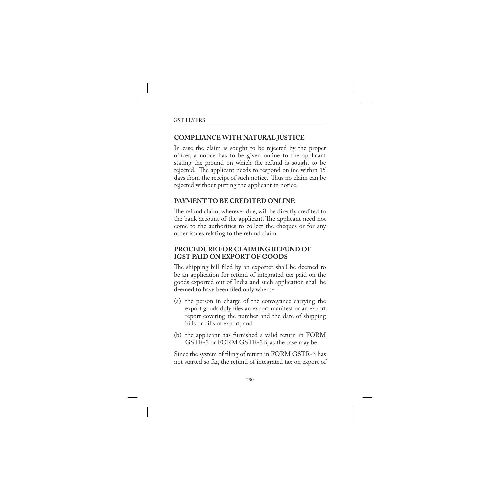## **COMPLIANCE WITH NATURAL JUSTICE**

In case the claim is sought to be rejected by the proper officer, a notice has to be given online to the applicant stating the ground on which the refund is sought to be rejected. The applicant needs to respond online within 15 days from the receipt of such notice. Thus no claim can be rejected without putting the applicant to notice.

#### **PAYMENT TO BE CREDITED ONLINE**

The refund claim, wherever due, will be directly credited to the bank account of the applicant. The applicant need not come to the authorities to collect the cheques or for any other issues relating to the refund claim.

#### **PROCEDURE FOR CLAIMING REFUND OF IGST PAID ON EXPORT OF GOODS**

The shipping bill filed by an exporter shall be deemed to be an application for refund of integrated tax paid on the goods exported out of India and such application shall be deemed to have been filed only when:-

- (a) the person in charge of the conveyance carrying the export goods duly files an export manifest or an export report covering the number and the date of shipping bills or bills of export; and
- (b) the applicant has furnished a valid return in FORM GSTR-3 or FORM GSTR-3B, as the case may be.

Since the system of filing of return in FORM GSTR-3 has not started so far, the refund of integrated tax on export of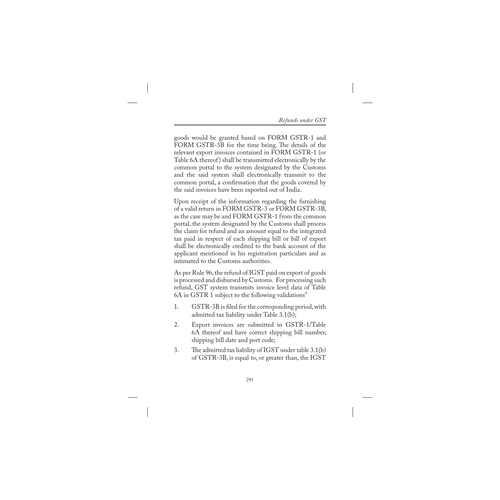goods would be granted based on FORM GSTR-1 and FORM GSTR-3B for the time being. The details of the relevant export invoices contained in FORM GSTR-1 (or Table 6A thereof) shall be transmitted electronically by the common portal to the system designated by the Customs and the said system shall electronically transmit to the common portal, a confirmation that the goods covered by the said invoices have been exported out of India.

Upon receipt of the information regarding the furnishing of a valid return in FORM GSTR-3 or FORM GSTR-3B, as the case may be and FORM GSTR-1 from the common portal, the system designated by the Customs shall process the claim for refund and an amount equal to the integrated tax paid in respect of each shipping bill or bill of export shall be electronically credited to the bank account of the applicant mentioned in his registration particulars and as intimated to the Customs authorities.

As per Rule 96, the refund of IGST paid on export of goods is processed and disbursed by Customs. For processing such refund, GST system transmits invoice level data of Table 6A in GSTR 1 subject to the following validations"

- 1. GSTR-3B is filed for the corresponding period, with admitted tax liability under Table 3.1(b);
- 2. Export invoices are submitted in GSTR-1/Table 6A thereof and have correct shipping bill number, shipping bill date and port code;
- 3. The admitted tax liability of IGST under table 3.1(b) of GSTR-3B, is equal to, or greater than, the IGST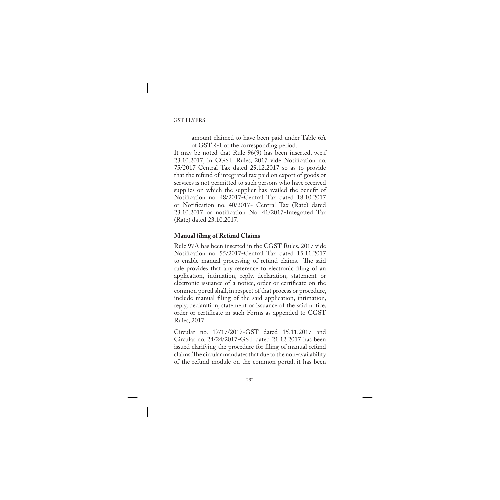amount claimed to have been paid under Table 6A of GSTR-1 of the corresponding period.

It may be noted that Rule 96(9) has been inserted, w.e.f 23.10.2017, in CGST Rules, 2017 vide Notification no. 75/2017-Central Tax dated 29.12.2017 so as to provide that the refund of integrated tax paid on export of goods or services is not permitted to such persons who have received supplies on which the supplier has availed the benefit of Notification no. 48/2017-Central Tax dated 18.10.2017 or Notification no. 40/2017- Central Tax (Rate) dated 23.10.2017 or notification No. 41/2017-Integrated Tax (Rate) dated 23.10.2017.

#### **Manual filing of Refund Claims**

Rule 97A has been inserted in the CGST Rules, 2017 vide Notification no. 55/2017-Central Tax dated 15.11.2017 to enable manual processing of refund claims. The said rule provides that any reference to electronic filing of an application, intimation, reply, declaration, statement or electronic issuance of a notice, order or certificate on the common portal shall, in respect of that process or procedure, include manual filing of the said application, intimation, reply, declaration, statement or issuance of the said notice, order or certificate in such Forms as appended to CGST Rules, 2017.

Circular no. 17/17/2017-GST dated 15.11.2017 and Circular no. 24/24/2017-GST dated 21.12.2017 has been issued clarifying the procedure for filing of manual refund claims. The circular mandates that due to the non-availability of the refund module on the common portal, it has been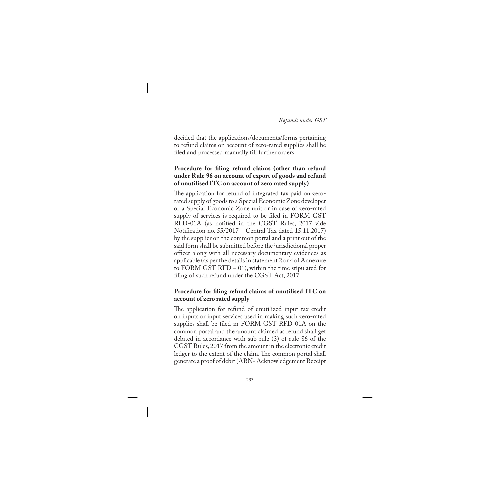decided that the applications/documents/forms pertaining to refund claims on account of zero-rated supplies shall be filed and processed manually till further orders.

#### **Procedure for filing refund claims (other than refund under Rule 96 on account of export of goods and refund of unutilised ITC on account of zero rated supply)**

The application for refund of integrated tax paid on zerorated supply of goods to a Special Economic Zone developer or a Special Economic Zone unit or in case of zero-rated supply of services is required to be filed in FORM GST RFD-01A (as notified in the CGST Rules, 2017 vide Notification no. 55/2017 – Central Tax dated 15.11.2017) by the supplier on the common portal and a print out of the said form shall be submitted before the jurisdictional proper officer along with all necessary documentary evidences as applicable (as per the details in statement 2 or 4 of Annexure to FORM GST RFD  $-$  01), within the time stipulated for filing of such refund under the CGST Act, 2017.

#### **Procedure for filing refund claims of unutilised ITC on account of zero rated supply**

The application for refund of unutilized input tax credit on inputs or input services used in making such zero-rated supplies shall be filed in FORM GST RFD-01A on the common portal and the amount claimed as refund shall get debited in accordance with sub-rule (3) of rule 86 of the CGST Rules, 2017 from the amount in the electronic credit ledger to the extent of the claim. The common portal shall generate a proof of debit (ARN- Acknowledgement Receipt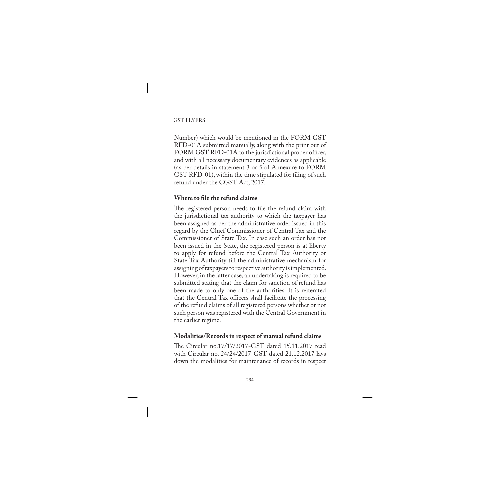Number) which would be mentioned in the FORM GST RFD-01A submitted manually, along with the print out of FORM GST RFD-01A to the jurisdictional proper officer, and with all necessary documentary evidences as applicable (as per details in statement 3 or 5 of Annexure to FORM GST RFD-01), within the time stipulated for filing of such refund under the CGST Act, 2017.

#### **Where to file the refund claims**

The registered person needs to file the refund claim with the jurisdictional tax authority to which the taxpayer has been assigned as per the administrative order issued in this regard by the Chief Commissioner of Central Tax and the Commissioner of State Tax. In case such an order has not been issued in the State, the registered person is at liberty to apply for refund before the Central Tax Authority or State Tax Authority till the administrative mechanism for assigning of taxpayers to respective authority is implemented. However, in the latter case, an undertaking is required to be submitted stating that the claim for sanction of refund has been made to only one of the authorities. It is reiterated that the Central Tax officers shall facilitate the processing of the refund claims of all registered persons whether or not such person was registered with the Central Government in the earlier regime.

#### **Modalities/Records in respect of manual refund claims**

The Circular no.17/17/2017-GST dated 15.11.2017 read with Circular no. 24/24/2017-GST dated 21.12.2017 lays down the modalities for maintenance of records in respect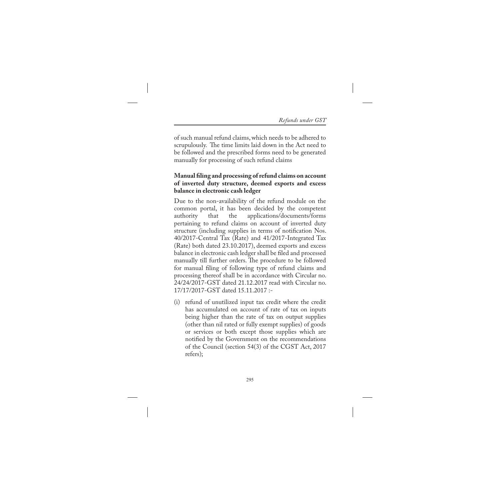of such manual refund claims, which needs to be adhered to scrupulously. The time limits laid down in the Act need to be followed and the prescribed forms need to be generated manually for processing of such refund claims

#### **Manual filing and processing of refund claims on account of inverted duty structure, deemed exports and excess balance in electronic cash ledger**

Due to the non-availability of the refund module on the common portal, it has been decided by the competent that the applications/documents/forms pertaining to refund claims on account of inverted duty structure (including supplies in terms of notification Nos. 40/2017-Central Tax (Rate) and 41/2017-Integrated Tax (Rate) both dated 23.10.2017), deemed exports and excess balance in electronic cash ledger shall be filed and processed manually till further orders. The procedure to be followed for manual filing of following type of refund claims and processing thereof shall be in accordance with Circular no. 24/24/2017-GST dated 21.12.2017 read with Circular no. 17/17/2017-GST dated 15.11.2017 :-

(i) refund of unutilized input tax credit where the credit has accumulated on account of rate of tax on inputs being higher than the rate of tax on output supplies (other than nil rated or fully exempt supplies) of goods or services or both except those supplies which are notified by the Government on the recommendations of the Council (section 54(3) of the CGST Act, 2017 refers);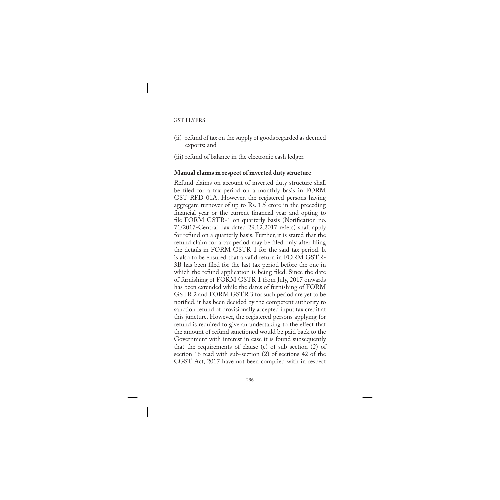(ii) refund of tax on the supply of goods regarded as deemed exports; and

(iii) refund of balance in the electronic cash ledger.

#### **Manual claims in respect of inverted duty structure**

Refund claims on account of inverted duty structure shall be filed for a tax period on a monthly basis in FORM GST RFD-01A. However, the registered persons having aggregate turnover of up to Rs. 1.5 crore in the preceding financial year or the current financial year and opting to file FORM GSTR-1 on quarterly basis (Notification no. 71/2017-Central Tax dated 29.12.2017 refers) shall apply for refund on a quarterly basis. Further, it is stated that the refund claim for a tax period may be filed only after filing the details in FORM GSTR-1 for the said tax period. It is also to be ensured that a valid return in FORM GSTR-3B has been filed for the last tax period before the one in which the refund application is being filed. Since the date of furnishing of FORM GSTR 1 from July, 2017 onwards has been extended while the dates of furnishing of FORM GSTR 2 and FORM GSTR 3 for such period are yet to be notified, it has been decided by the competent authority to sanction refund of provisionally accepted input tax credit at this juncture. However, the registered persons applying for refund is required to give an undertaking to the effect that the amount of refund sanctioned would be paid back to the Government with interest in case it is found subsequently that the requirements of clause (c) of sub-section (2) of section 16 read with sub-section (2) of sections 42 of the CGST Act, 2017 have not been complied with in respect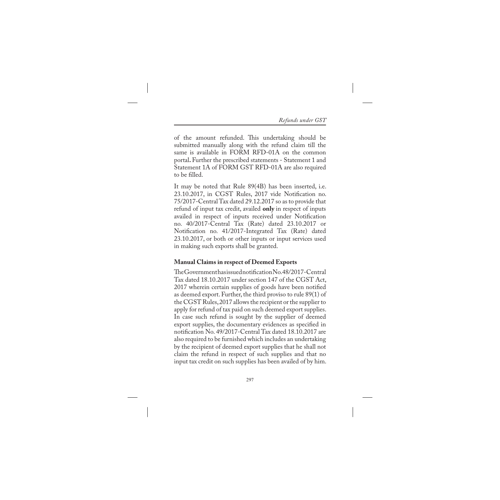of the amount refunded. This undertaking should be submitted manually along with the refund claim till the same is available in FORM RFD-01A on the common portal**.** Further the prescribed statements - Statement 1 and Statement 1A of FORM GST RFD-01A are also required to be filled.

It may be noted that Rule 89(4B) has been inserted, i.e. 23.10.2017, in CGST Rules, 2017 vide Notification no. 75/2017-Central Tax dated 29.12.2017 so as to provide that refund of input tax credit, availed **only** in respect of inputs availed in respect of inputs received under Notification no. 40/2017-Central Tax (Rate) dated 23.10.2017 or Notification no. 41/2017-Integrated Tax (Rate) dated 23.10.2017, or both or other inputs or input services used in making such exports shall be granted.

#### **Manual Claims in respect of Deemed Exports**

The Government has issued notification No. 48/2017-Central Tax dated 18.10.2017 under section 147 of the CGST Act, 2017 wherein certain supplies of goods have been notified as deemed export. Further, the third proviso to rule 89(1) of the CGST Rules, 2017 allows the recipient or the supplier to apply for refund of tax paid on such deemed export supplies. In case such refund is sought by the supplier of deemed export supplies, the documentary evidences as specified in notification No. 49/2017-Central Tax dated 18.10.2017 are also required to be furnished which includes an undertaking by the recipient of deemed export supplies that he shall not claim the refund in respect of such supplies and that no input tax credit on such supplies has been availed of by him.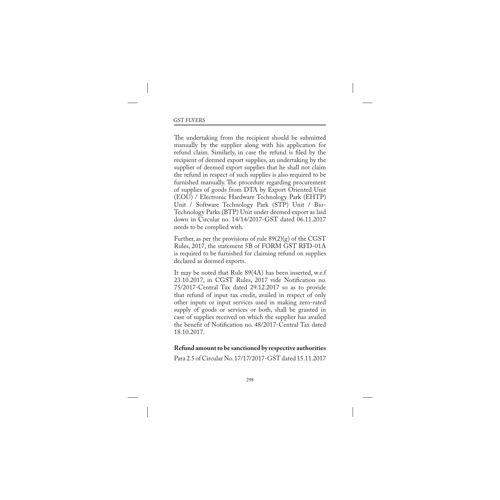The undertaking from the recipient should be submitted manually by the supplier along with his application for refund claim. Similarly, in case the refund is filed by the recipient of deemed export supplies, an undertaking by the supplier of deemed export supplies that he shall not claim the refund in respect of such supplies is also required to be furnished manually. The procedure regarding procurement of supplies of goods from DTA by Export Oriented Unit (EOU) / Electronic Hardware Technology Park (EHTP) Unit / Software Technology Park (STP) Unit / Bio-Technology Parks (BTP) Unit under deemed export as laid down in Circular no. 14/14/2017-GST dated 06.11.2017 needs to be complied with.

Further, as per the provisions of rule  $89(2)(g)$  of the CGST Rules, 2017, the statement 5B of FORM GST RFD-01A is required to be furnished for claiming refund on supplies declared as deemed exports.

It may be noted that Rule 89(4A) has been inserted, w.e.f 23.10.2017, in CGST Rules, 2017 vide Notification no. 75/2017-Central Tax dated 29.12.2017 so as to provide that refund of input tax credit, availed in respect of only other inputs or input services used in making zero-rated supply of goods or services or both, shall be granted in case of supplies received on which the supplier has availed the benefit of Notification no. 48/2017-Central Tax dated 18.10.2017.

#### **Refund amount to be sanctioned by respective authorities**

Para 2.5 of Circular No. 17/17/2017-GST dated 15.11.2017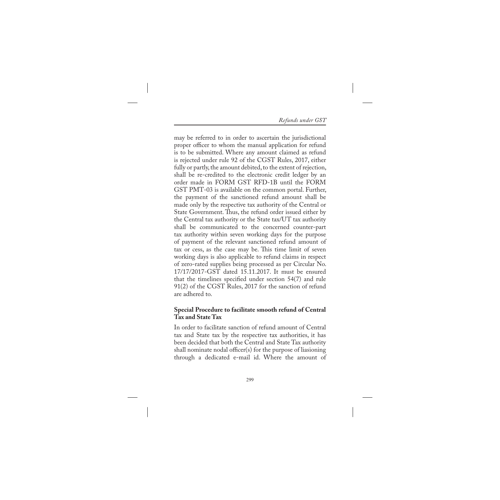may be referred to in order to ascertain the jurisdictional proper officer to whom the manual application for refund is to be submitted. Where any amount claimed as refund is rejected under rule 92 of the CGST Rules, 2017, either fully or partly, the amount debited, to the extent of rejection, shall be re-credited to the electronic credit ledger by an order made in FORM GST RFD-1B until the FORM GST PMT-03 is available on the common portal. Further, the payment of the sanctioned refund amount shall be made only by the respective tax authority of the Central or State Government. Thus, the refund order issued either by the Central tax authority or the State tax/UT tax authority shall be communicated to the concerned counter-part tax authority within seven working days for the purpose of payment of the relevant sanctioned refund amount of tax or cess, as the case may be. This time limit of seven working days is also applicable to refund claims in respect of zero-rated supplies being processed as per Circular No. 17/17/2017-GST dated 15.11.2017. It must be ensured that the timelines specified under section 54(7) and rule 91(2) of the CGST Rules, 2017 for the sanction of refund are adhered to.

#### **Special Procedure to facilitate smooth refund of Central Tax and State Tax**

In order to facilitate sanction of refund amount of Central tax and State tax by the respective tax authorities, it has been decided that both the Central and State Tax authority shall nominate nodal officer(s) for the purpose of liasioning through a dedicated e-mail id. Where the amount of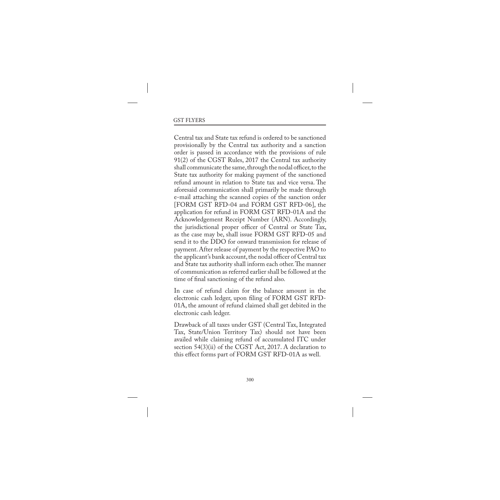Central tax and State tax refund is ordered to be sanctioned provisionally by the Central tax authority and a sanction order is passed in accordance with the provisions of rule 91(2) of the CGST Rules, 2017 the Central tax authority shall communicate the same, through the nodal officer, to the State tax authority for making payment of the sanctioned refund amount in relation to State tax and vice versa. The aforesaid communication shall primarily be made through e-mail attaching the scanned copies of the sanction order [FORM GST RFD-04 and FORM GST RFD-06], the application for refund in FORM GST RFD-01A and the Acknowledgement Receipt Number (ARN). Accordingly, the jurisdictional proper officer of Central or State Tax, as the case may be, shall issue FORM GST RFD-05 and send it to the DDO for onward transmission for release of payment. After release of payment by the respective PAO to the applicant's bank account, the nodal officer of Central tax and State tax authority shall inform each other. The manner of communication as referred earlier shall be followed at the time of final sanctioning of the refund also.

In case of refund claim for the balance amount in the electronic cash ledger, upon filing of FORM GST RFD-01A, the amount of refund claimed shall get debited in the electronic cash ledger.

Drawback of all taxes under GST (Central Tax, Integrated Tax, State/Union Territory Tax) should not have been availed while claiming refund of accumulated ITC under section 54(3)(ii) of the CGST Act, 2017. A declaration to this effect forms part of FORM GST RFD-01A as well.